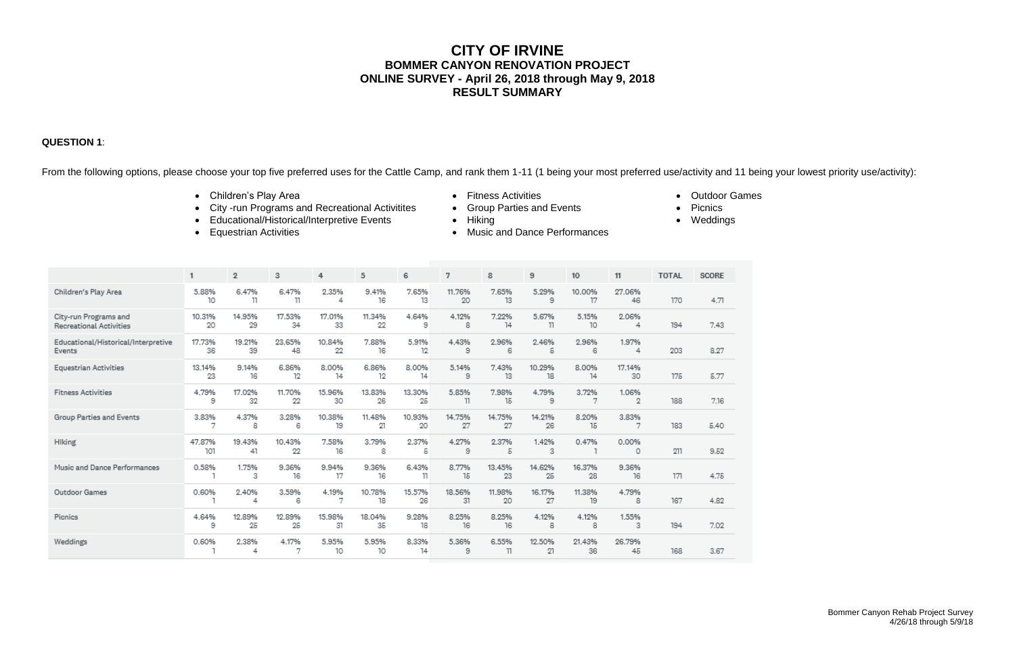# **CITY OF IRVINE BOMMER CANYON RENOVATION PROJECT ONLINE SURVEY - April 26, 2018 through May 9, 2018 RESULT SUMMARY**

### **QUESTION 1**:

From the following options, please choose your top five preferred uses for the Cattle Camp, and rank them 1-11 (1 being your most preferred use/activity and 11 being your lowest priority use/activity):

- Children's Play Area **Children's Play Area Children's Play Area Contract Contract Contract Contract Contract Contract Contract Contract Contract Contract Contract Contract Contract Contract Contract Contract Contract**
- City -run Programs and Recreational Activitites Group Parties and Events Picnics
- Educational/Historical/Interpretive Events Hiking **Constanting Constanting Constanting Constanting Constanting**
- 
- 
- 
- 
- Equestrian Activities **Construction Construction Construction Construction Construction Construction Construction Construction Construction Construction Construction Construction Construction Construction Construction Co**
- 
- 
- 
- $\overline{2}$  $\overline{7}$  $9$  $10<sub>10</sub>$  $11$ **TOTAL** SCORE  $\mathbf{1}$ 3  $\overline{4}$ 5 6 8 Children's Play Area 5.88% 6.47% 6.47% 2.35% 9.41% 7.65% 27.06% 11.76% 7.65% 5.29% 10.00%  $10$  $11$ 16 13  $17$ 170 4.71  $\mathbb{I}$ 4 20 13  $_{9}$ 46 4.64% City-run Programs and 10.31% 14.95% 17.53% 17.01% 11.34% 4.12% 7.22% 5.67% 5.15% 2.06%  $20\,$ 22  $^{\circ}$  $74$  $10\,$ 7.43 29  $34$ 33 -8  $\mathbb{I}$ 4 194 Recreational Activities 5.91% 1.97% Educational/Historical/Interpretive 17.73% 19.21% 23.65% 10.84% 7.88% 4.43% 2.96% 2.46% 2.96% 48 22 16  $12$  $\theta$ 203 8.27 Events 36 -39 6 5 6 4 **Equestrian Activities** 13.14% 9.14% 6.86% 8.00% 6.86% 8.00% 5.14% 7.43% 10.29% 8.00% 17.14% 23  $12$ 16 12  $14$  $14$ - 9 13 18  $14$ 30 175 5.77 **Fitness Activities** 4.79% 17.02% 11.70% 15.96% 13.83% 13.30% 5.85% 7.98% 4.79% 1.06% 3.72% 9 32 22 30 26 25  $\overline{\phantom{a}}$ 15  $_{9}$  $\overline{7}$ 2 188 7.16 14.21% Group Parties and Events 3.83% 4.37% 3.28% 10.38% 11.48% 10.93% 14.75% 8.20% 3.83% 14.75% 8 19 21 20 27 27 26 15 183  $5.40$ -6 7 -7 Hiking 47.87% 19.43% 10.43% 7.58% 3.79% 0.00% 2.37% 4.27% 2.37% 1.42% 0.47% 101 41 22 16 8  $\overline{9}$ 3 211 9.52  $\sqrt{2}$ 5 0 -1 0.58% 9.36% 9.94% 9.36% 6.43% 9.36% Music and Dance Performances 1.75% 8.77% 13.45% 14.62% 16.37% 16 17 16  $15$ 25 28 16  $171$ 4.75 -3  $\mathbb{1}$ 23 Outdoor Games 3.59% 10.78% 15.57% 0.60% 2.40% 4.19% 18.56% 11.98% 16.17% 11.38% 4.79% 4.82  $\overline{4}$ -6 7 18 26 -31 20 27 19 8 167 12.89% 18.04% 1.55% Picnics 4.64% 12.89% 15.98% 9.28% 8.25% 8.25% 4.12% 4.12% 25 25 35 18 16 194 7.02 9 -31 16 -8 8 з 0.60% 2.38% 4.17% 5.95% 5.95% 8.33% 5.36% 6.55% 12.50% 21.43% 26.79% Weddings 10 10  $14$ 36  $\overline{1}$  $\overline{4}$ -7 9  $11$ 21 45 168 3.67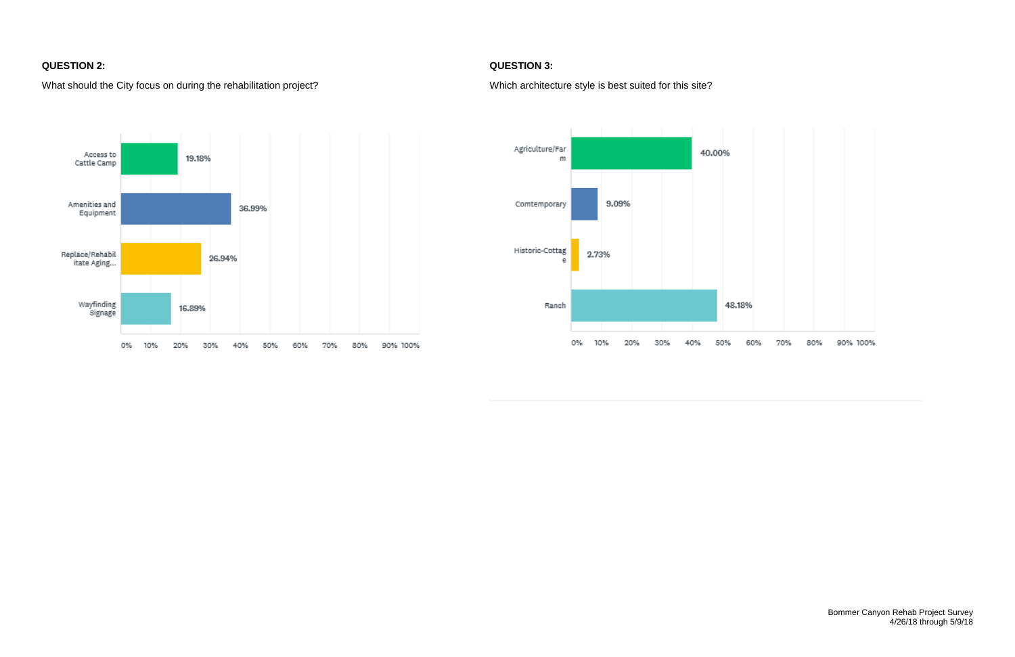## **QUESTION 2: QUESTION 3:**

## What should the City focus on during the rehabilitation project?<br>
Which architecture style is best suited for this site?



| % |             |          |
|---|-------------|----------|
|   | 60% 70% 80% | 90% 100% |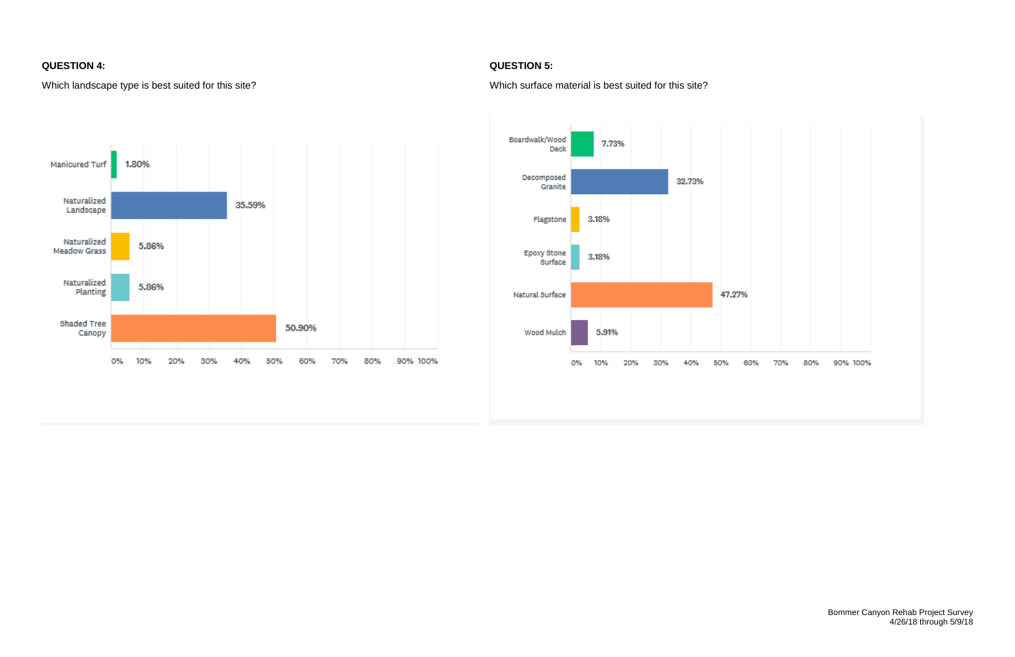## **QUESTION 4: QUESTION 5:**

Which landscape type is best suited for this site?<br>
Which surface material is best suited for this site?



| 47.27%                  |  |  |
|-------------------------|--|--|
| 0% 60% 70% 80% 90% 100% |  |  |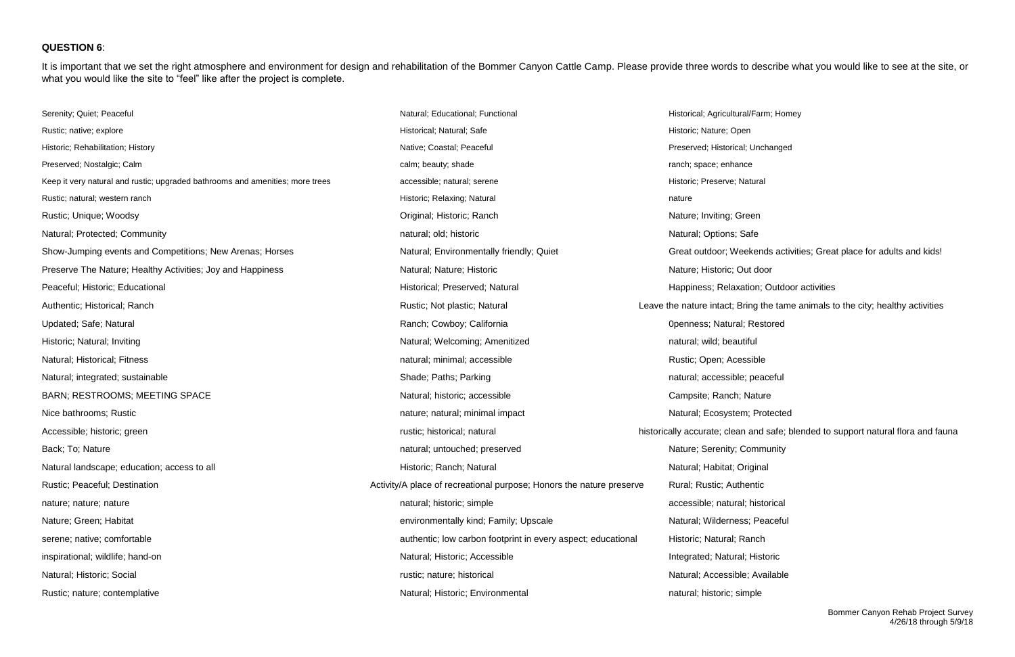### **QUESTION 6**:

It is important that we set the right atmosphere and environment for design and rehabilitation of the Bommer Canyon Cattle Camp. Please provide three words to describe what you would like to see at the site, or what you would like the site to "feel" like after the project is complete.

| Serenity; Quiet; Peaceful                                                     | Natural; Educational; Functional                                     | Historical; Agricultural/Farm; Homey       |
|-------------------------------------------------------------------------------|----------------------------------------------------------------------|--------------------------------------------|
| Rustic; native; explore                                                       | Historical; Natural; Safe                                            | Historic; Nature; Open                     |
| Historic; Rehabilitation; History                                             | Native; Coastal; Peaceful                                            | Preserved; Historical; Unchanged           |
| Preserved; Nostalgic; Calm                                                    | calm; beauty; shade                                                  | ranch; space; enhance                      |
| Keep it very natural and rustic; upgraded bathrooms and amenities; more trees | accessible; natural; serene                                          | Historic; Preserve; Natural                |
| Rustic; natural; western ranch                                                | Historic; Relaxing; Natural                                          | nature                                     |
| Rustic; Unique; Woodsy                                                        | Original; Historic; Ranch                                            | Nature; Inviting; Green                    |
| Natural; Protected; Community                                                 | natural; old; historic                                               | Natural; Options; Safe                     |
| Show-Jumping events and Competitions; New Arenas; Horses                      | Natural; Environmentally friendly; Quiet                             | Great outdoor; Weekends activiti           |
| Preserve The Nature; Healthy Activities; Joy and Happiness                    | Natural; Nature; Historic                                            | Nature; Historic; Out door                 |
| Peaceful; Historic; Educational                                               | Historical; Preserved; Natural                                       | Happiness; Relaxation; Outdoor             |
| Authentic; Historical; Ranch                                                  | Rustic; Not plastic; Natural                                         | Leave the nature intact; Bring the tame a  |
| Updated; Safe; Natural                                                        | Ranch; Cowboy; California                                            | Openness; Natural; Restored                |
| Historic; Natural; Inviting                                                   | Natural; Welcoming; Amenitized                                       | natural; wild; beautiful                   |
| Natural; Historical; Fitness                                                  | natural; minimal; accessible                                         | Rustic; Open; Acessible                    |
| Natural; integrated; sustainable                                              | Shade; Paths; Parking                                                | natural; accessible; peaceful              |
| <b>BARN; RESTROOMS; MEETING SPACE</b>                                         | Natural; historic; accessible                                        | Campsite; Ranch; Nature                    |
| Nice bathrooms; Rustic                                                        | nature; natural; minimal impact                                      | Natural; Ecosystem; Protected              |
| Accessible; historic; green                                                   | rustic; historical; natural                                          | historically accurate; clean and safe; ble |
| Back; To; Nature                                                              | natural; untouched; preserved                                        | Nature; Serenity; Community                |
| Natural landscape; education; access to all                                   | Historic; Ranch; Natural                                             | Natural; Habitat; Original                 |
| Rustic; Peaceful; Destination                                                 | Activity/A place of recreational purpose; Honors the nature preserve | Rural; Rustic; Authentic                   |
| nature; nature; nature                                                        | natural; historic; simple                                            | accessible; natural; historical            |
| Nature; Green; Habitat                                                        | environmentally kind; Family; Upscale                                | Natural; Wilderness; Peaceful              |
| serene; native; comfortable                                                   | authentic; low carbon footprint in every aspect; educational         | Historic; Natural; Ranch                   |
| inspirational; wildlife; hand-on                                              | Natural; Historic; Accessible                                        | Integrated; Natural; Historic              |
| Natural; Historic; Social                                                     | rustic; nature; historical                                           | Natural; Accessible; Available             |
| Rustic; nature; contemplative                                                 | Natural; Historic; Environmental                                     | natural; historic; simple                  |

- 
- 
- 
- 
- 
- 
- 
- ekends activities; Great place for adults and kids!
- 
- tion; Outdoor activities
- ing the tame animals to the city; healthy activities
- 
- 
- 
- 
- 
- 
- and safe; blended to support natural flora and fauna
- 
- 
- 
- 
- 
- 
- 
- 
-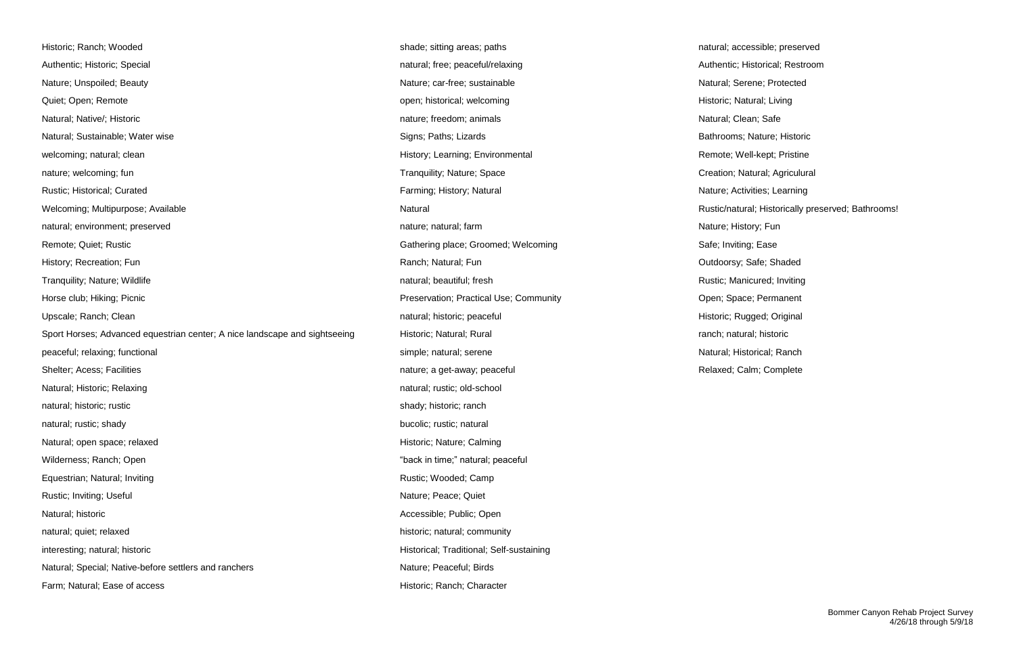| Historic; Ranch; Wooded                                                    |
|----------------------------------------------------------------------------|
| Authentic; Historic; Special                                               |
| Nature; Unspoiled; Beauty                                                  |
| Quiet; Open; Remote                                                        |
| Natural; Native/; Historic                                                 |
| Natural; Sustainable; Water wise                                           |
| welcoming; natural; clean                                                  |
| nature; welcoming; fun                                                     |
| Rustic; Historical; Curated                                                |
| Welcoming; Multipurpose; Available                                         |
| natural; environment; preserved                                            |
| Remote; Quiet; Rustic                                                      |
| History; Recreation; Fun                                                   |
| Tranquility; Nature; Wildlife                                              |
| Horse club; Hiking; Picnic                                                 |
| Upscale; Ranch; Clean                                                      |
| Sport Horses; Advanced equestrian center; A nice landscape and sightseeing |
| peaceful; relaxing; functional                                             |
| Shelter; Acess; Facilities                                                 |
| Natural; Historic; Relaxing                                                |
| natural; historic; rustic                                                  |
| natural; rustic; shady                                                     |
| Natural; open space; relaxed                                               |
| Wilderness; Ranch; Open                                                    |
| Equestrian; Natural; Inviting                                              |
| Rustic; Inviting; Useful                                                   |
| Natural; historic                                                          |
| natural; quiet; relaxed                                                    |
| interesting; natural; historic                                             |
| Natural; Special; Native-before settlers and ranchers                      |
| Farm; Natural; Ease of access                                              |

shade; sitting areas; paths natural; accessible; preserved natural; free; peaceful/relaxing and all natural; Special natural; Restroom and Authentic; Historical; Restroom Nature; car-free; sustainable Natural; Serene; Protected open; historical; welcoming example open; historic; Natural; Living Historic; Natural; Living nature; freedom; animals Natural; Clean; Safe Signs; Paths; Lizards Bathrooms; Nature; Historic Bathrooms; Nature; Historic History; Learning; Environmental Remote; Well-kept; Pristine Tranquility; Nature; Space Creation; Natural; Agriculural Farming; History; Natural Nature; Activities; Learning Natural Natural Rustic/natural; Historically preserved; Bathrooms! nature; natural; farm Nature; history; Fun Gathering place; Groomed; Welcoming Safe; Inviting; Ease History; Ranch; Natural; Fun Ranch; Natural; Fun Cutaborsy; Safe; Shaded natural; beautiful; fresh Rustic; Manicured; Inviting natural; beautiful; fresh Rustic; Manicured; Inviting Preservation; Practical Use; Community **Example: 2018** Open; Space; Permanent natural; historic; peaceful expression natural; historic; Rugged; Original Historic; Natural; Rural center; A nice landscape and significant center; A natural; historic; natural; historic peaceful; relational simple; natural; serene Natural; Historical; Ranch nature; a get-away; peaceful **Exercise 2018** Relaxed; Calm; Complete natural; rustic; old-school shady; historic; ranch bucolic; rustic; natural Historic; Nature; Calming "back in time;" natural; peaceful Rustic; Wooded; Camp Nature; Peace; Quiet Accessible; Public; Open historic; natural; community Historical; Traditional; Self-sustaining Nature; Peaceful; Birds Historic; Ranch; Character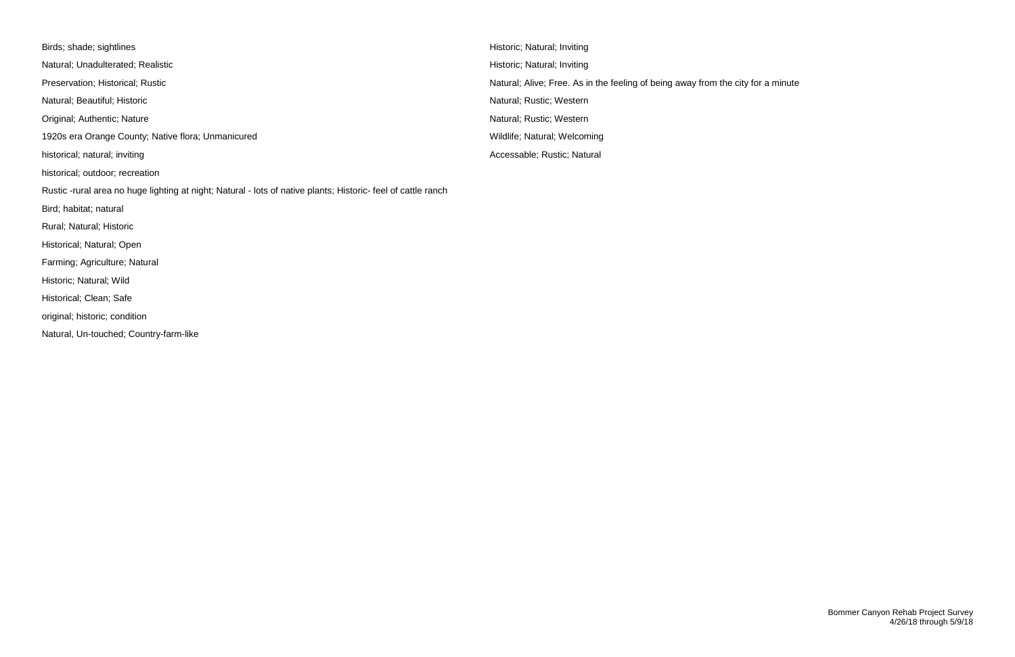Birds; shade; sightlines **Historic; Natural; Inviting** Natural; Unadulterated; Realistic **Historician Computer Acts and Computer** Historic; Natural; Inviting Preservation; Historical; Rustic Natural; Alive; Free. As in the feeling of being away from the city for a minute Natural; Beautiful; Historic **Natural; Rustic; Western** Natural; Rustic; Western Original; Authentic; Nature Nature Natural; Rustic; Western 1920s era Orange County; Native flora; Unmanicured Wildlife; Natural; Welcoming Wildlife; Natural; Welcoming historical; natural; inviting and accessable; Rustic; Natural Accessable; Rustic; Natural historical; outdoor; recreation Rustic -rural area no huge lighting at night; Natural - lots of native plants; Historic- feel of cattle ranch Bird; habitat; natural Rural; Natural; Historic Historical; Natural; Open Farming; Agriculture; Natural Historic; Natural; Wild Historical; Clean; Safe original; historic; condition Natural, Un-touched; Country-farm-like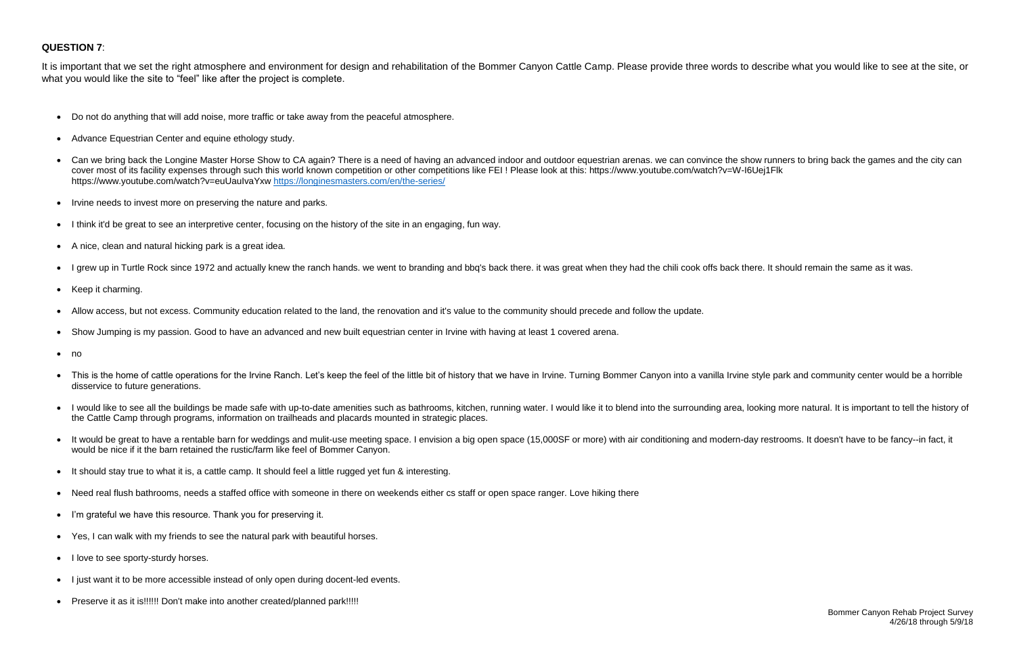### **QUESTION 7**:

- Do not do anything that will add noise, more traffic or take away from the peaceful atmosphere.
- Advance Equestrian Center and equine ethology study.
- Can we bring back the Longine Master Horse Show to CA again? There is a need of having an advanced indoor and outdoor equestrian arenas. we can convince the show runners to bring back the games and the city can cover most of its facility expenses through such this world known competition or other competitions like FEI ! Please look at this: https://www.youtube.com/watch?v=W-I6Uej1Flk https://www.youtube.com/watch?v=euUauIvaYxw<https://longinesmasters.com/en/the-series/>
- Irvine needs to invest more on preserving the nature and parks.
- I think it'd be great to see an interpretive center, focusing on the history of the site in an engaging, fun way.
- A nice, clean and natural hicking park is a great idea.
- I grew up in Turtle Rock since 1972 and actually knew the ranch hands. we went to branding and bbq's back there. it was great when they had the chili cook offs back there. It should remain the same as it was.
- Keep it charming.
- Allow access, but not excess. Community education related to the land, the renovation and it's value to the community should precede and follow the update.
- Show Jumping is my passion. Good to have an advanced and new built equestrian center in Irvine with having at least 1 covered arena.
- no
- This is the home of cattle operations for the Irvine Ranch. Let's keep the feel of the little bit of history that we have in Irvine. Turning Bommer Canyon into a vanilla Irvine style park and community center would be a disservice to future generations.
- I would like to see all the buildings be made safe with up-to-date amenities such as bathrooms, kitchen, running water. I would like it to blend into the surrounding area, looking more natural. It is important to tell th the Cattle Camp through programs, information on trailheads and placards mounted in strategic places.
- It would be great to have a rentable barn for weddings and mulit-use meeting space. I envision a big open space (15,000SF or more) with air conditioning and modern-day restrooms. It doesn't have to be fancy--in fact, it would be nice if it the barn retained the rustic/farm like feel of Bommer Canyon.
- It should stay true to what it is, a cattle camp. It should feel a little rugged yet fun & interesting.
- Need real flush bathrooms, needs a staffed office with someone in there on weekends either cs staff or open space ranger. Love hiking there
- I'm grateful we have this resource. Thank you for preserving it.
- Yes, I can walk with my friends to see the natural park with beautiful horses.
- I love to see sporty-sturdy horses.
- I just want it to be more accessible instead of only open during docent-led events.
- Preserve it as it is!!!!!! Don't make into another created/planned park!!!!!

It is important that we set the right atmosphere and environment for design and rehabilitation of the Bommer Canyon Cattle Camp. Please provide three words to describe what you would like to see at the site, or what you would like the site to "feel" like after the project is complete.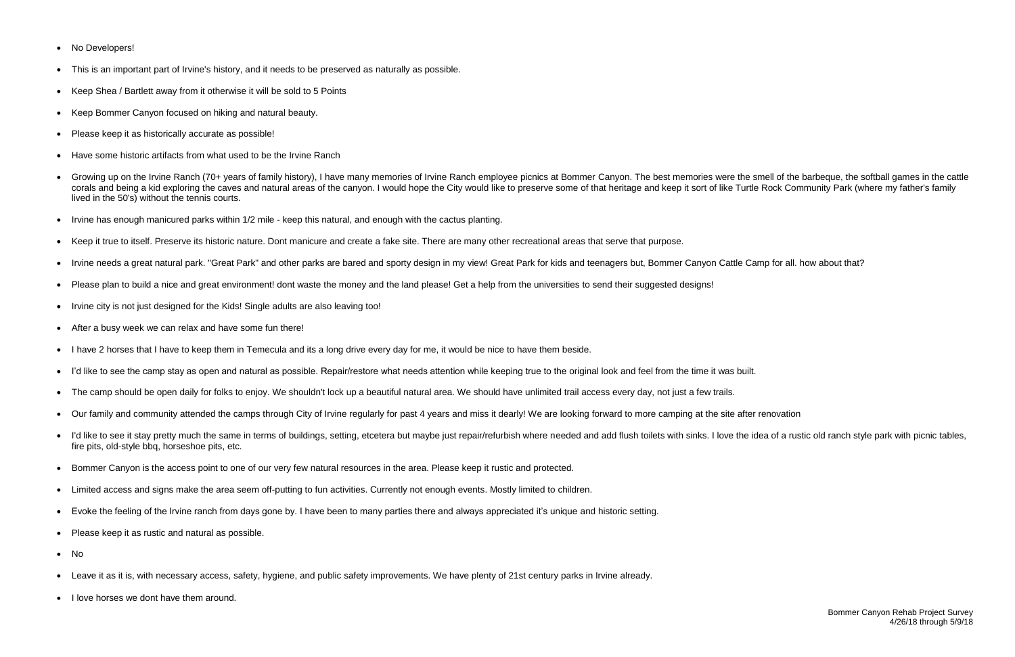- No Developers!
- This is an important part of Irvine's history, and it needs to be preserved as naturally as possible.
- Keep Shea / Bartlett away from it otherwise it will be sold to 5 Points
- Keep Bommer Canyon focused on hiking and natural beauty.
- Please keep it as historically accurate as possible!
- Have some historic artifacts from what used to be the Irvine Ranch
- Growing up on the Irvine Ranch (70+ years of family history). I have many memories of Irvine Ranch employee picnics at Bommer Canyon. The best memories were the smell of the barbeque, the softball games in the cattle corals and being a kid exploring the caves and natural areas of the canyon. I would hope the City would like to preserve some of that heritage and keep it sort of like Turtle Rock Community Park (where my father's family lived in the 50's) without the tennis courts.
- Irvine has enough manicured parks within 1/2 mile keep this natural, and enough with the cactus planting.
- Keep it true to itself. Preserve its historic nature. Dont manicure and create a fake site. There are many other recreational areas that serve that purpose.
- Irvine needs a great natural park. "Great Park" and other parks are bared and sporty design in my view! Great Park for kids and teenagers but, Bommer Canyon Cattle Camp for all. how about that?
- Please plan to build a nice and great environment! dont waste the money and the land please! Get a help from the universities to send their suggested designs!
- Irvine city is not just designed for the Kids! Single adults are also leaving too!
- After a busy week we can relax and have some fun there!
- I have 2 horses that I have to keep them in Temecula and its a long drive every day for me, it would be nice to have them beside.
- I'd like to see the camp stay as open and natural as possible. Repair/restore what needs attention while keeping true to the original look and feel from the time it was built.
- The camp should be open daily for folks to enjoy. We shouldn't lock up a beautiful natural area. We should have unlimited trail access every day, not just a few trails.
- Our family and community attended the camps through City of Irvine regularly for past 4 years and miss it dearly! We are looking forward to more camping at the site after renovation
- I'd like to see it stay pretty much the same in terms of buildings, setting, etcetera but maybe just repair/refurbish where needed and add flush toilets with sinks. I love the idea of a rustic old ranch style park with p fire pits, old-style bbq, horseshoe pits, etc.
- Bommer Canyon is the access point to one of our very few natural resources in the area. Please keep it rustic and protected.
- Limited access and signs make the area seem off-putting to fun activities. Currently not enough events. Mostly limited to children.
- Evoke the feeling of the Irvine ranch from days gone by. I have been to many parties there and always appreciated it's unique and historic setting.
- Please keep it as rustic and natural as possible.
- No
- Leave it as it is, with necessary access, safety, hygiene, and public safety improvements. We have plenty of 21st century parks in Irvine already.
- I love horses we dont have them around.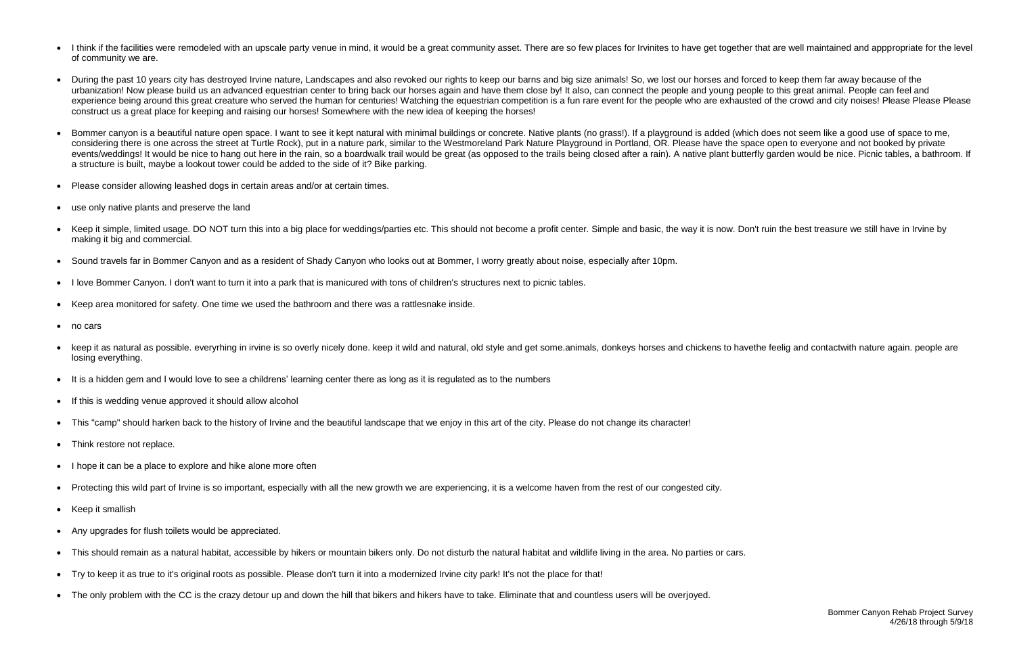- I think if the facilities were remodeled with an upscale party venue in mind, it would be a great community asset. There are so few places for Irvinites to have get together that are well maintained and apppropriate for of community we are.
- During the past 10 years city has destroyed Irvine nature, Landscapes and also revoked our rights to keep our barns and big size animals! So, we lost our horses and forced to keep them far away because of the urbanization! Now please build us an advanced equestrian center to bring back our horses again and have them close by! It also, can connect the people and young people to this great animal. People can feel and experience being around this great creature who served the human for centuries! Watching the equestrian competition is a fun rare event for the people who are exhausted of the crowd and city noises! Please Please Please Pl construct us a great place for keeping and raising our horses! Somewhere with the new idea of keeping the horses!
- Bommer canyon is a beautiful nature open space. I want to see it kept natural with minimal buildings or concrete. Native plants (no grass!). If a playground is added (which does not seem like a good use of space to me, considering there is one across the street at Turtle Rock), put in a nature park, similar to the Westmoreland Park Nature Playground in Portland, OR. Please have the space open to everyone and not booked by private events/weddings! It would be nice to hang out here in the rain, so a boardwalk trail would be great (as opposed to the trails being closed after a rain). A native plant butterfly garden would be nice. Picnic tables, a bath a structure is built, maybe a lookout tower could be added to the side of it? Bike parking.
- Please consider allowing leashed dogs in certain areas and/or at certain times.
- use only native plants and preserve the land
- Keep it simple, limited usage. DO NOT turn this into a big place for weddings/parties etc. This should not become a profit center. Simple and basic, the way it is now. Don't ruin the best treasure we still have in Irvine b making it big and commercial.
- Sound travels far in Bommer Canyon and as a resident of Shady Canyon who looks out at Bommer, I worry greatly about noise, especially after 10pm.
- I love Bommer Canyon. I don't want to turn it into a park that is manicured with tons of children's structures next to picnic tables.
- Keep area monitored for safety. One time we used the bathroom and there was a rattlesnake inside.
- no cars
- keep it as natural as possible. everyrhing in irvine is so overly nicely done. keep it wild and natural, old style and get some.animals, donkeys horses and chickens to havethe feelig and contactwith nature again. people are losing everything.
- It is a hidden gem and I would love to see a childrens' learning center there as long as it is regulated as to the numbers
- If this is wedding venue approved it should allow alcohol
- This "camp" should harken back to the history of Irvine and the beautiful landscape that we enjoy in this art of the city. Please do not change its character!
- Think restore not replace.
- I hope it can be a place to explore and hike alone more often
- Protecting this wild part of Irvine is so important, especially with all the new growth we are experiencing, it is a welcome haven from the rest of our congested city.
- Keep it smallish
- Any upgrades for flush toilets would be appreciated.
- This should remain as a natural habitat, accessible by hikers or mountain bikers only. Do not disturb the natural habitat and wildlife living in the area. No parties or cars.
- Try to keep it as true to it's original roots as possible. Please don't turn it into a modernized Irvine city park! It's not the place for that!
- The only problem with the CC is the crazy detour up and down the hill that bikers and hikers have to take. Eliminate that and countless users will be overjoyed.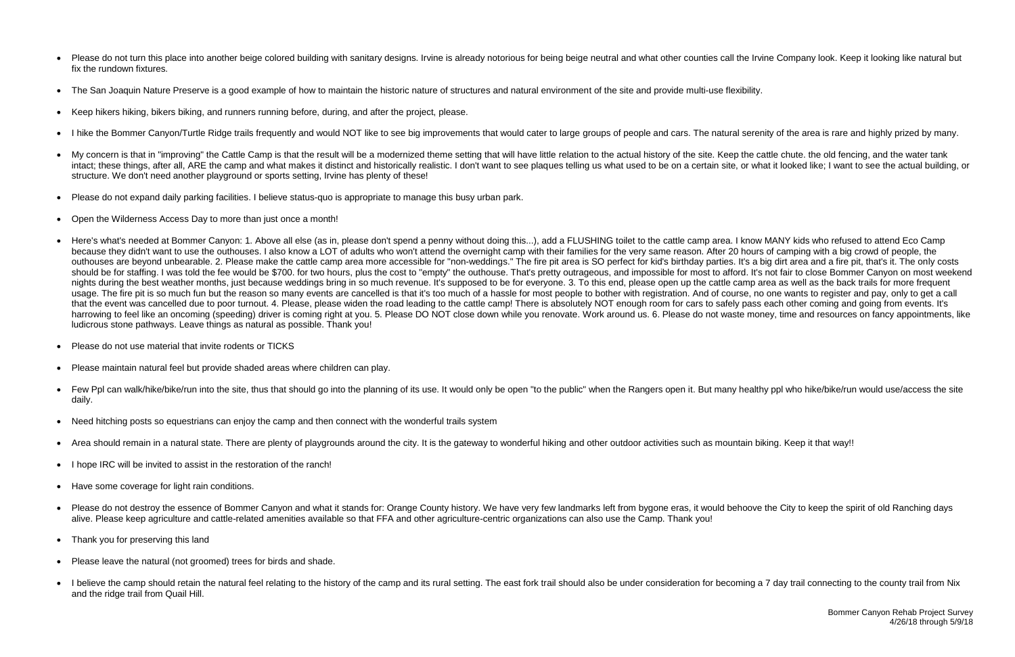Bommer Canyon Rehab Project Survey 4/26/18 through 5/9/18

- Please do not turn this place into another beige colored building with sanitary designs. Irvine is already notorious for being beige neutral and what other counties call the Irvine Company look. Keep it looking like natu fix the rundown fixtures.
- The San Joaquin Nature Preserve is a good example of how to maintain the historic nature of structures and natural environment of the site and provide multi-use flexibility.
- Keep hikers hiking, bikers biking, and runners running before, during, and after the project, please.
- I hike the Bommer Canyon/Turtle Ridge trails frequently and would NOT like to see big improvements that would cater to large groups of people and cars. The natural serenity of the area is rare and highly prized by many.
- My concern is that in "improving" the Cattle Camp is that the result will be a modernized theme setting that will have little relation to the actual history of the site. Keep the cattle chute, the old fencing, and the wate intact: these things, after all. ARE the camp and what makes it distinct and historically realistic. I don't want to see plaques telling us what used to be on a certain site, or what it looked like; I want to see the actua structure. We don't need another playground or sports setting, Irvine has plenty of these!
- Please do not expand daily parking facilities. I believe status-quo is appropriate to manage this busy urban park.
- Open the Wilderness Access Day to more than just once a month!
- Here's what's needed at Bommer Canyon: 1. Above all else (as in, please don't spend a penny without doing this...), add a FLUSHING toilet to the cattle camp area. I know MANY kids who refused to attend Eco Camp because they didn't want to use the outhouses. I also know a LOT of adults who won't attend the overnight camp with their families for the very same reason. After 20 hours of camping with a big crowd of people, the outhouses are beyond unbearable. 2. Please make the cattle camp area more accessible for "non-weddings." The fire pit area is SO perfect for kid's birthday parties. It's a big dirt area and a fire pit, that's it. The only should be for staffing. I was told the fee would be \$700, for two hours, plus the cost to "empty" the outhouse. That's pretty outrageous, and impossible for most to afford. It's not fair to close Bommer Canyon on most week nights during the best weather months, just because weddings bring in so much revenue. It's supposed to be for everyone. 3. To this end, please open up the cattle camp area as well as the back trails for more frequent usage. The fire pit is so much fun but the reason so many events are cancelled is that it's too much of a hassle for most people to bother with registration. And of course, no one wants to register and pay, only to get a c that the event was cancelled due to poor turnout. 4. Please, please widen the road leading to the cattle camp! There is absolutely NOT enough room for cars to safely pass each other coming and going from events. It's harrowing to feel like an oncoming (speeding) driver is coming right at you. 5. Please DO NOT close down while you renovate. Work around us. 6. Please do not waste money, time and resources on fancy appointments, like ludicrous stone pathways. Leave things as natural as possible. Thank you!
- Please do not use material that invite rodents or TICKS
- Please maintain natural feel but provide shaded areas where children can play.
- Few Ppl can walk/hike/bike/run into the site, thus that should go into the planning of its use. It would only be open "to the public" when the Rangers open it. But many healthy ppl who hike/bike/run would use/access the daily.
- Need hitching posts so equestrians can enjoy the camp and then connect with the wonderful trails system
- Area should remain in a natural state. There are plenty of playgrounds around the city. It is the gateway to wonderful hiking and other outdoor activities such as mountain biking. Keep it that way!!
- I hope IRC will be invited to assist in the restoration of the ranch!
- Have some coverage for light rain conditions.
- Please do not destroy the essence of Bommer Canyon and what it stands for: Orange County history. We have very few landmarks left from bygone eras, it would behoove the City to keep the spirit of old Ranching days alive. Please keep agriculture and cattle-related amenities available so that FFA and other agriculture-centric organizations can also use the Camp. Thank you!
- Thank you for preserving this land
- Please leave the natural (not groomed) trees for birds and shade.
- I believe the camp should retain the natural feel relating to the history of the camp and its rural setting. The east fork trail should also be under consideration for becoming a 7 day trail connecting to the county trai and the ridge trail from Quail Hill.